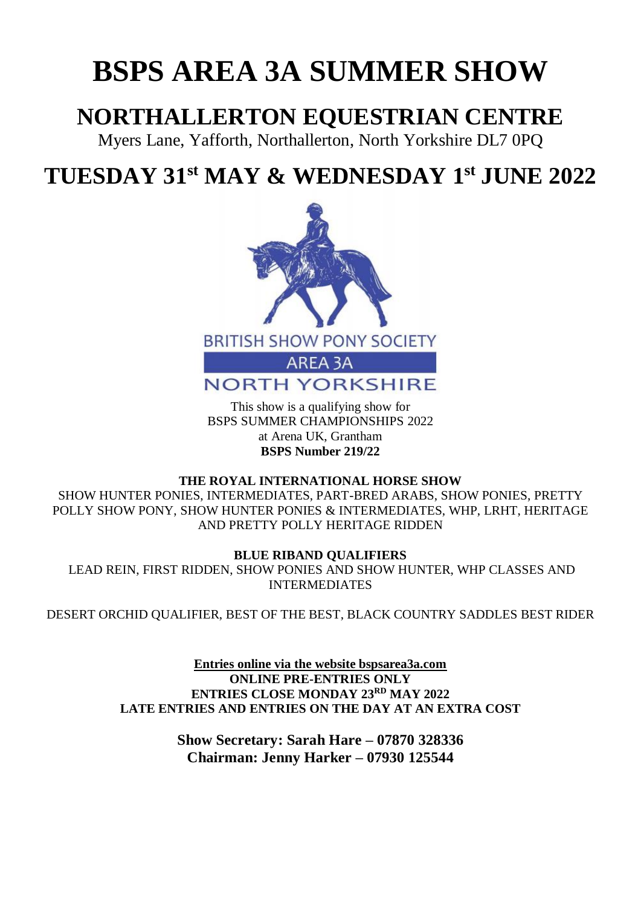# **BSPS AREA 3A SUMMER SHOW**

# **NORTHALLERTON EQUESTRIAN CENTRE**

Myers Lane, Yafforth, Northallerton, North Yorkshire DL7 0PQ

# **TUESDAY 31st MAY & WEDNESDAY 1 st JUNE 2022**



This show is a qualifying show for BSPS SUMMER CHAMPIONSHIPS 2022 at Arena UK, Grantham **BSPS Number 219/22**

### **THE ROYAL INTERNATIONAL HORSE SHOW**

SHOW HUNTER PONIES, INTERMEDIATES, PART-BRED ARABS, SHOW PONIES, PRETTY POLLY SHOW PONY, SHOW HUNTER PONIES & INTERMEDIATES, WHP, LRHT, HERITAGE AND PRETTY POLLY HERITAGE RIDDEN

### **BLUE RIBAND QUALIFIERS**

LEAD REIN, FIRST RIDDEN, SHOW PONIES AND SHOW HUNTER, WHP CLASSES AND INTERMEDIATES

DESERT ORCHID QUALIFIER, BEST OF THE BEST, BLACK COUNTRY SADDLES BEST RIDER

**Entries online via the website bspsarea3a.com ONLINE PRE-ENTRIES ONLY ENTRIES CLOSE MONDAY 23 RD MAY 2022 LATE ENTRIES AND ENTRIES ON THE DAY AT AN EXTRA COST**

> **Show Secretary: Sarah Hare – 07870 328336 Chairman: Jenny Harker – 07930 125544**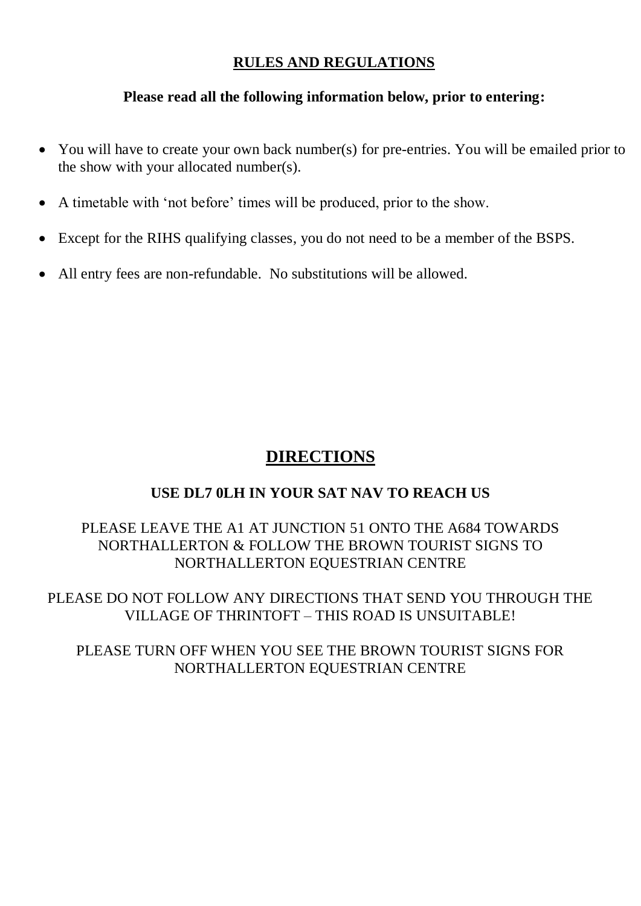### **RULES AND REGULATIONS**

### **Please read all the following information below, prior to entering:**

- You will have to create your own back number(s) for pre-entries. You will be emailed prior to the show with your allocated number(s).
- A timetable with 'not before' times will be produced, prior to the show.
- Except for the RIHS qualifying classes, you do not need to be a member of the BSPS.
- All entry fees are non-refundable. No substitutions will be allowed.

# **DIRECTIONS**

# **USE DL7 0LH IN YOUR SAT NAV TO REACH US**

## PLEASE LEAVE THE A1 AT JUNCTION 51 ONTO THE A684 TOWARDS NORTHALLERTON & FOLLOW THE BROWN TOURIST SIGNS TO NORTHALLERTON EQUESTRIAN CENTRE

PLEASE DO NOT FOLLOW ANY DIRECTIONS THAT SEND YOU THROUGH THE VILLAGE OF THRINTOFT – THIS ROAD IS UNSUITABLE!

PLEASE TURN OFF WHEN YOU SEE THE BROWN TOURIST SIGNS FOR NORTHALLERTON EQUESTRIAN CENTRE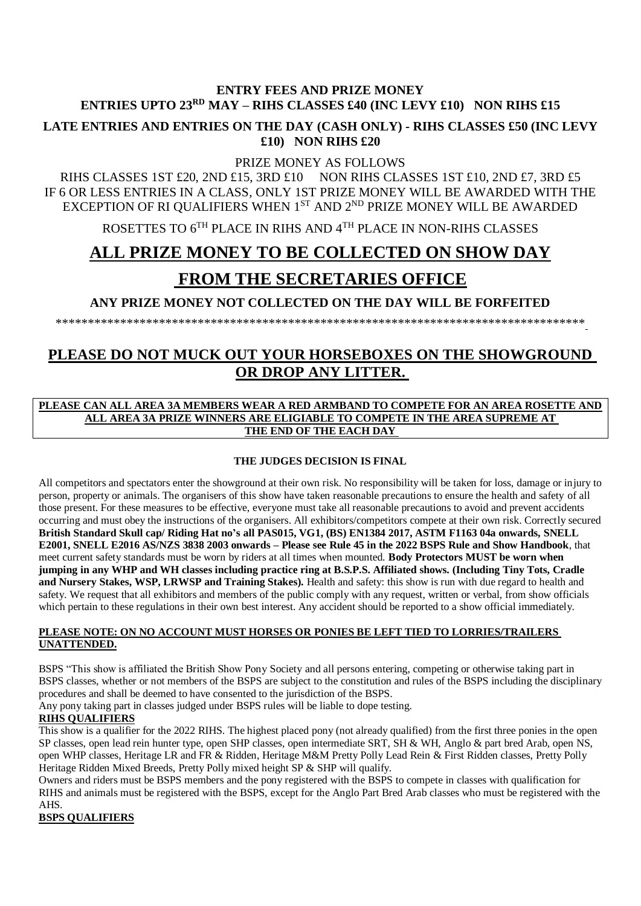#### **ENTRY FEES AND PRIZE MONEY ENTRIES UPTO 23 RD MAY – RIHS CLASSES £40 (INC LEVY £10) NON RIHS £15**

**LATE ENTRIES AND ENTRIES ON THE DAY (CASH ONLY) - RIHS CLASSES £50 (INC LEVY £10) NON RIHS £20**

PRIZE MONEY AS FOLLOWS

RIHS CLASSES 1ST £20, 2ND £15, 3RD £10 NON RIHS CLASSES 1ST £10, 2ND £7, 3RD £5 IF 6 OR LESS ENTRIES IN A CLASS, ONLY 1ST PRIZE MONEY WILL BE AWARDED WITH THE EXCEPTION OF RI QUALIFIERS WHEN  $1^{ST}$  AND  $2^{ND}$  PRIZE MONEY WILL BE AWARDED

ROSETTES TO 6TH PLACE IN RIHS AND 4TH PLACE IN NON-RIHS CLASSES

# **ALL PRIZE MONEY TO BE COLLECTED ON SHOW DAY**

# **FROM THE SECRETARIES OFFICE**

**ANY PRIZE MONEY NOT COLLECTED ON THE DAY WILL BE FORFEITED**

\*\*\*\*\*\*\*\*\*\*\*\*\*\*\*\*\*\*\*\*\*\*\*\*\*\*\*\*\*\*\*\*\*\*\*\*\*\*\*\*\*\*\*\*\*\*\*\*\*\*\*\*\*\*\*\*\*\*\*\*\*\*\*\*\*\*\*\*\*\*\*\*\*\*\*\*\*\*\*\*\*\*

## **PLEASE DO NOT MUCK OUT YOUR HORSEBOXES ON THE SHOWGROUND OR DROP ANY LITTER.**

#### **PLEASE CAN ALL AREA 3A MEMBERS WEAR A RED ARMBAND TO COMPETE FOR AN AREA ROSETTE AND ALL AREA 3A PRIZE WINNERS ARE ELIGIABLE TO COMPETE IN THE AREA SUPREME AT THE END OF THE EACH DAY**

#### **THE JUDGES DECISION IS FINAL**

All competitors and spectators enter the showground at their own risk. No responsibility will be taken for loss, damage or injury to person, property or animals. The organisers of this show have taken reasonable precautions to ensure the health and safety of all those present. For these measures to be effective, everyone must take all reasonable precautions to avoid and prevent accidents occurring and must obey the instructions of the organisers. All exhibitors/competitors compete at their own risk. Correctly secured **British Standard Skull cap/ Riding Hat no's all PAS015, VG1, (BS) EN1384 2017, ASTM F1163 04a onwards, SNELL E2001, SNELL E2016 AS/NZS 3838 2003 onwards – Please see Rule 45 in the 2022 BSPS Rule and Show Handbook**, that meet current safety standards must be worn by riders at all times when mounted. **Body Protectors MUST be worn when jumping in any WHP and WH classes including practice ring at B.S.P.S. Affiliated shows. (Including Tiny Tots, Cradle and Nursery Stakes, WSP, LRWSP and Training Stakes).** Health and safety: this show is run with due regard to health and safety. We request that all exhibitors and members of the public comply with any request, written or verbal, from show officials which pertain to these regulations in their own best interest. Any accident should be reported to a show official immediately.

#### **PLEASE NOTE: ON NO ACCOUNT MUST HORSES OR PONIES BE LEFT TIED TO LORRIES/TRAILERS UNATTENDED.**

BSPS "This show is affiliated the British Show Pony Society and all persons entering, competing or otherwise taking part in BSPS classes, whether or not members of the BSPS are subject to the constitution and rules of the BSPS including the disciplinary procedures and shall be deemed to have consented to the jurisdiction of the BSPS.

Any pony taking part in classes judged under BSPS rules will be liable to dope testing.

#### **RIHS QUALIFIERS**

This show is a qualifier for the 2022 RIHS. The highest placed pony (not already qualified) from the first three ponies in the open SP classes, open lead rein hunter type, open SHP classes, open intermediate SRT, SH & WH, Anglo & part bred Arab, open NS, open WHP classes, Heritage LR and FR & Ridden, Heritage M&M Pretty Polly Lead Rein & First Ridden classes, Pretty Polly Heritage Ridden Mixed Breeds, Pretty Polly mixed height SP & SHP will qualify.

Owners and riders must be BSPS members and the pony registered with the BSPS to compete in classes with qualification for RIHS and animals must be registered with the BSPS, except for the Anglo Part Bred Arab classes who must be registered with the AHS.

**BSPS QUALIFIERS**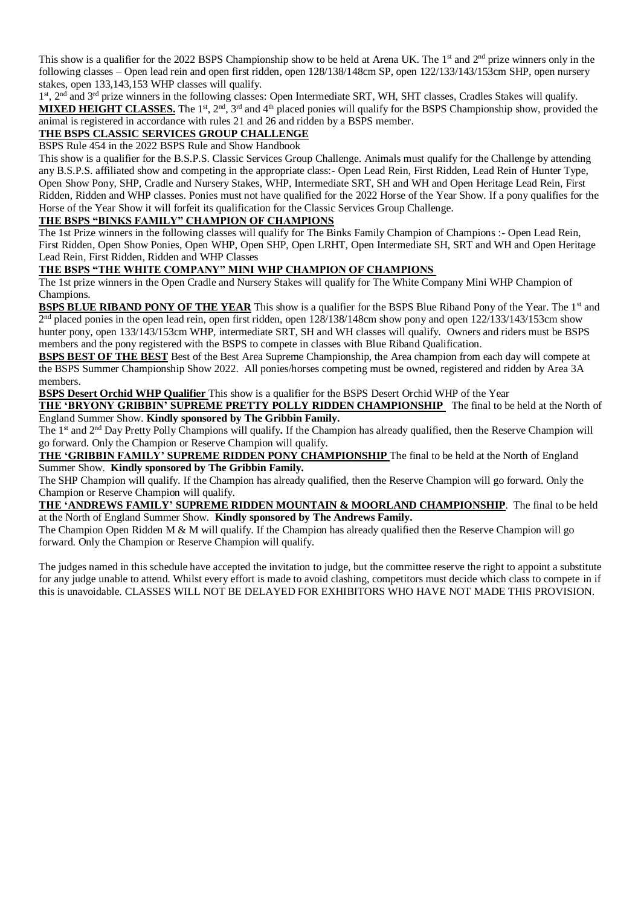This show is a qualifier for the 2022 BSPS Championship show to be held at Arena UK. The 1<sup>st</sup> and  $2<sup>nd</sup>$  prize winners only in the following classes – Open lead rein and open first ridden, open 128/138/148cm SP, open 122/133/143/153cm SHP, open nursery stakes, open 133,143,153 WHP classes will qualify.

1<sup>st</sup>, 2<sup>nd</sup> and 3<sup>rd</sup> prize winners in the following classes: Open Intermediate SRT, WH, SHT classes, Cradles Stakes will qualify. MIXED HEIGHT CLASSES. The 1<sup>st</sup>, 2<sup>nd</sup>, 3<sup>rd</sup> and 4<sup>th</sup> placed ponies will qualify for the BSPS Championship show, provided the animal is registered in accordance with rules 21 and 26 and ridden by a BSPS member.

#### **THE BSPS CLASSIC SERVICES GROUP CHALLENGE**

BSPS Rule 454 in the 2022 BSPS Rule and Show Handbook

This show is a qualifier for the B.S.P.S. Classic Services Group Challenge. Animals must qualify for the Challenge by attending any B.S.P.S. affiliated show and competing in the appropriate class:- Open Lead Rein, First Ridden, Lead Rein of Hunter Type, Open Show Pony, SHP, Cradle and Nursery Stakes, WHP, Intermediate SRT, SH and WH and Open Heritage Lead Rein, First Ridden, Ridden and WHP classes. Ponies must not have qualified for the 2022 Horse of the Year Show. If a pony qualifies for the Horse of the Year Show it will forfeit its qualification for the Classic Services Group Challenge.

#### **THE BSPS "BINKS FAMILY" CHAMPION OF CHAMPIONS**

The 1st Prize winners in the following classes will qualify for The Binks Family Champion of Champions :- Open Lead Rein, First Ridden, Open Show Ponies, Open WHP, Open SHP, Open LRHT, Open Intermediate SH, SRT and WH and Open Heritage Lead Rein, First Ridden, Ridden and WHP Classes

#### **THE BSPS "THE WHITE COMPANY" MINI WHP CHAMPION OF CHAMPIONS**

The 1st prize winners in the Open Cradle and Nursery Stakes will qualify for The White Company Mini WHP Champion of Champions.

**BSPS BLUE RIBAND PONY OF THE YEAR** This show is a qualifier for the BSPS Blue Riband Pony of the Year. The 1<sup>st</sup> and 2<sup>nd</sup> placed ponies in the open lead rein, open first ridden, open 128/138/148cm show pony and open 122/133/143/153cm show hunter pony, open 133/143/153cm WHP, intermediate SRT, SH and WH classes will qualify. Owners and riders must be BSPS members and the pony registered with the BSPS to compete in classes with Blue Riband Qualification.

**BSPS BEST OF THE BEST** Best of the Best Area Supreme Championship, the Area champion from each day will compete at the BSPS Summer Championship Show 2022. All ponies/horses competing must be owned, registered and ridden by Area 3A members.

**BSPS Desert Orchid WHP Qualifier** This show is a qualifier for the BSPS Desert Orchid WHP of the Year

**THE 'BRYONY GRIBBIN' SUPREME PRETTY POLLY RIDDEN CHAMPIONSHIP** The final to be held at the North of England Summer Show. **Kindly sponsored by The Gribbin Family.** 

The 1 st and 2nd Day Pretty Polly Champions will qualify**.** If the Champion has already qualified, then the Reserve Champion will go forward. Only the Champion or Reserve Champion will qualify.

**THE 'GRIBBIN FAMILY' SUPREME RIDDEN PONY CHAMPIONSHIP** The final to be held at the North of England Summer Show. **Kindly sponsored by The Gribbin Family.**

The SHP Champion will qualify. If the Champion has already qualified, then the Reserve Champion will go forward. Only the Champion or Reserve Champion will qualify.

**THE 'ANDREWS FAMILY' SUPREME RIDDEN MOUNTAIN & MOORLAND CHAMPIONSHIP**. The final to be held at the North of England Summer Show. **Kindly sponsored by The Andrews Family.** 

The Champion Open Ridden M  $\&$  M will qualify. If the Champion has already qualified then the Reserve Champion will go forward. Only the Champion or Reserve Champion will qualify.

The judges named in this schedule have accepted the invitation to judge, but the committee reserve the right to appoint a substitute for any judge unable to attend. Whilst every effort is made to avoid clashing, competitors must decide which class to compete in if this is unavoidable. CLASSES WILL NOT BE DELAYED FOR EXHIBITORS WHO HAVE NOT MADE THIS PROVISION.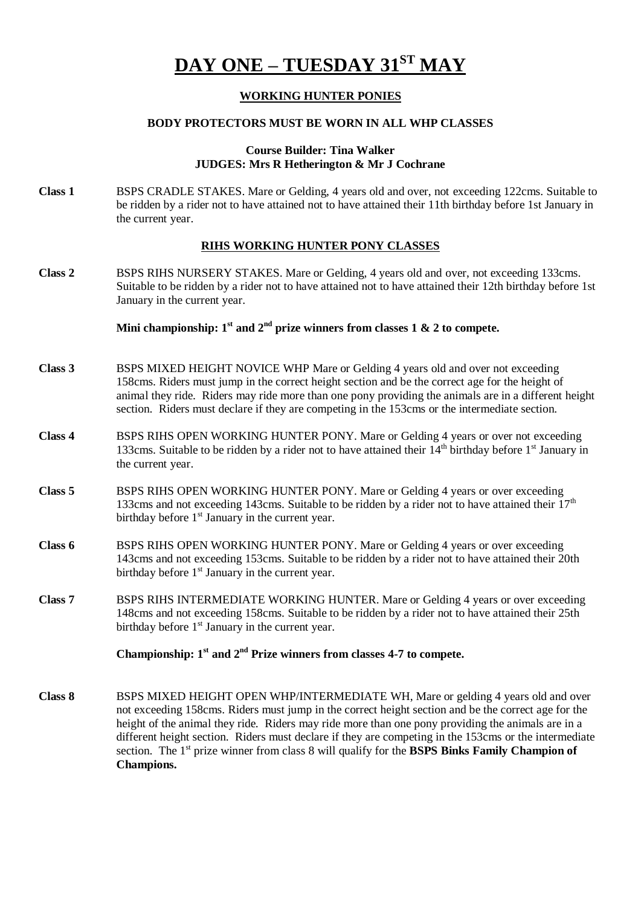# **DAY ONE – TUESDAY 31ST MAY**

#### **WORKING HUNTER PONIES**

#### **BODY PROTECTORS MUST BE WORN IN ALL WHP CLASSES**

#### **Course Builder: Tina Walker JUDGES: Mrs R Hetherington & Mr J Cochrane**

**Class 1** BSPS CRADLE STAKES. Mare or Gelding, 4 years old and over, not exceeding 122cms. Suitable to be ridden by a rider not to have attained not to have attained their 11th birthday before 1st January in the current year.

#### **RIHS WORKING HUNTER PONY CLASSES**

**Class 2** BSPS RIHS NURSERY STAKES. Mare or Gelding, 4 years old and over, not exceeding 133cms. Suitable to be ridden by a rider not to have attained not to have attained their 12th birthday before 1st January in the current year.

#### Mini championship:  $1^{\text{st}}$  and  $2^{\text{nd}}$  prize winners from classes 1  $\&$  2 to compete.

- **Class 3** BSPS MIXED HEIGHT NOVICE WHP Mare or Gelding 4 years old and over not exceeding 158cms. Riders must jump in the correct height section and be the correct age for the height of animal they ride. Riders may ride more than one pony providing the animals are in a different height section. Riders must declare if they are competing in the 153cms or the intermediate section.
- **Class 4** BSPS RIHS OPEN WORKING HUNTER PONY. Mare or Gelding 4 years or over not exceeding 133cms. Suitable to be ridden by a rider not to have attained their  $14<sup>th</sup>$  birthday before  $1<sup>st</sup>$  January in the current year.
- **Class 5** BSPS RIHS OPEN WORKING HUNTER PONY. Mare or Gelding 4 years or over exceeding 133cms and not exceeding 143cms. Suitable to be ridden by a rider not to have attained their  $17<sup>th</sup>$ birthday before  $1<sup>st</sup>$  January in the current year.
- **Class 6** BSPS RIHS OPEN WORKING HUNTER PONY. Mare or Gelding 4 years or over exceeding 143cms and not exceeding 153cms. Suitable to be ridden by a rider not to have attained their 20th birthday before  $1<sup>st</sup>$  January in the current year.
- **Class 7** BSPS RIHS INTERMEDIATE WORKING HUNTER. Mare or Gelding 4 years or over exceeding 148cms and not exceeding 158cms. Suitable to be ridden by a rider not to have attained their 25th birthday before 1<sup>st</sup> January in the current year.

#### Championship:  $1<sup>st</sup>$  and  $2<sup>nd</sup>$  Prize winners from classes 4-7 to compete.

**Class 8** BSPS MIXED HEIGHT OPEN WHP/INTERMEDIATE WH, Mare or gelding 4 years old and over not exceeding 158cms. Riders must jump in the correct height section and be the correct age for the height of the animal they ride. Riders may ride more than one pony providing the animals are in a different height section. Riders must declare if they are competing in the 153cms or the intermediate section. The 1st prize winner from class 8 will qualify for the **BSPS Binks Family Champion of Champions.**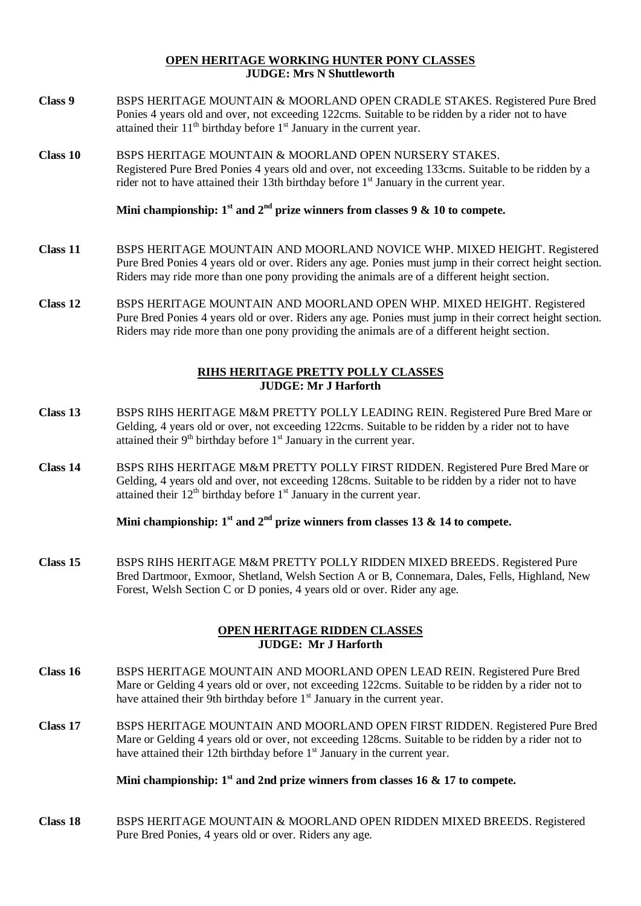#### **OPEN HERITAGE WORKING HUNTER PONY CLASSES JUDGE: Mrs N Shuttleworth**

- **Class 9** BSPS HERITAGE MOUNTAIN & MOORLAND OPEN CRADLE STAKES. Registered Pure Bred Ponies 4 years old and over, not exceeding 122cms. Suitable to be ridden by a rider not to have attained their  $11<sup>th</sup>$  birthday before  $1<sup>st</sup>$  January in the current year.
- **Class 10** BSPS HERITAGE MOUNTAIN & MOORLAND OPEN NURSERY STAKES. Registered Pure Bred Ponies 4 years old and over, not exceeding 133cms. Suitable to be ridden by a rider not to have attained their 13th birthday before 1<sup>st</sup> January in the current year.

Mini championship:  $1<sup>st</sup>$  and  $2<sup>nd</sup>$  prize winners from classes 9 & 10 to compete.

- **Class 11** BSPS HERITAGE MOUNTAIN AND MOORLAND NOVICE WHP. MIXED HEIGHT. Registered Pure Bred Ponies 4 years old or over. Riders any age. Ponies must jump in their correct height section. Riders may ride more than one pony providing the animals are of a different height section.
- **Class 12** BSPS HERITAGE MOUNTAIN AND MOORLAND OPEN WHP. MIXED HEIGHT. Registered Pure Bred Ponies 4 years old or over. Riders any age. Ponies must jump in their correct height section. Riders may ride more than one pony providing the animals are of a different height section.

#### **RIHS HERITAGE PRETTY POLLY CLASSES JUDGE: Mr J Harforth**

- **Class 13** BSPS RIHS HERITAGE M&M PRETTY POLLY LEADING REIN. Registered Pure Bred Mare or Gelding, 4 years old or over, not exceeding 122cms. Suitable to be ridden by a rider not to have attained their  $9<sup>th</sup>$  birthday before  $1<sup>st</sup>$  January in the current year.
- **Class 14** BSPS RIHS HERITAGE M&M PRETTY POLLY FIRST RIDDEN. Registered Pure Bred Mare or Gelding, 4 years old and over, not exceeding 128cms. Suitable to be ridden by a rider not to have attained their  $12<sup>th</sup>$  birthday before  $1<sup>st</sup>$  January in the current year.

**Mini championship:**  $1^{\text{st}}$  and  $2^{\text{nd}}$  prize winners from classes 13 & 14 to compete.

**Class 15** BSPS RIHS HERITAGE M&M PRETTY POLLY RIDDEN MIXED BREEDS. Registered Pure Bred Dartmoor, Exmoor, Shetland, Welsh Section A or B, Connemara, Dales, Fells, Highland, New Forest, Welsh Section C or D ponies, 4 years old or over. Rider any age.

#### **OPEN HERITAGE RIDDEN CLASSES JUDGE: Mr J Harforth**

- **Class 16** BSPS HERITAGE MOUNTAIN AND MOORLAND OPEN LEAD REIN. Registered Pure Bred Mare or Gelding 4 years old or over, not exceeding 122cms. Suitable to be ridden by a rider not to have attained their 9th birthday before  $1<sup>st</sup>$  January in the current year.
- **Class 17** BSPS HERITAGE MOUNTAIN AND MOORLAND OPEN FIRST RIDDEN. Registered Pure Bred Mare or Gelding 4 years old or over, not exceeding 128cms. Suitable to be ridden by a rider not to have attained their 12th birthday before  $1<sup>st</sup>$  January in the current year.

#### **Mini championship: 1st and 2nd prize winners from classes 16 & 17 to compete.**

**Class 18** BSPS HERITAGE MOUNTAIN & MOORLAND OPEN RIDDEN MIXED BREEDS. Registered Pure Bred Ponies, 4 years old or over. Riders any age.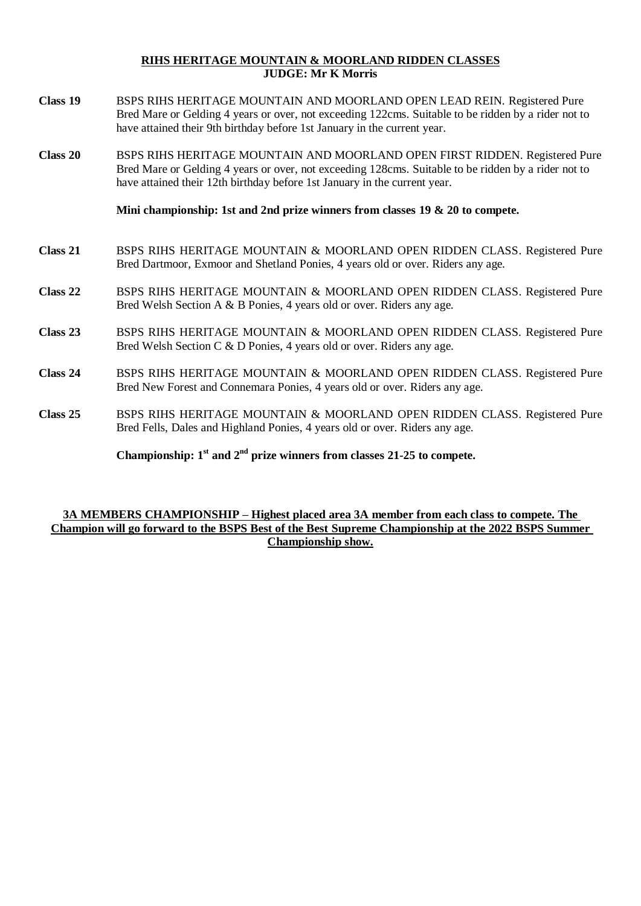#### **RIHS HERITAGE MOUNTAIN & MOORLAND RIDDEN CLASSES JUDGE: Mr K Morris**

- **Class 19** BSPS RIHS HERITAGE MOUNTAIN AND MOORLAND OPEN LEAD REIN. Registered Pure Bred Mare or Gelding 4 years or over, not exceeding 122cms. Suitable to be ridden by a rider not to have attained their 9th birthday before 1st January in the current year.
- **Class 20** BSPS RIHS HERITAGE MOUNTAIN AND MOORLAND OPEN FIRST RIDDEN. Registered Pure Bred Mare or Gelding 4 years or over, not exceeding 128cms. Suitable to be ridden by a rider not to have attained their 12th birthday before 1st January in the current year.

**Mini championship: 1st and 2nd prize winners from classes 19 & 20 to compete.** 

- **Class 21** BSPS RIHS HERITAGE MOUNTAIN & MOORLAND OPEN RIDDEN CLASS. Registered Pure Bred Dartmoor, Exmoor and Shetland Ponies, 4 years old or over. Riders any age.
- **Class 22** BSPS RIHS HERITAGE MOUNTAIN & MOORLAND OPEN RIDDEN CLASS. Registered Pure Bred Welsh Section A & B Ponies, 4 years old or over. Riders any age.
- **Class 23** BSPS RIHS HERITAGE MOUNTAIN & MOORLAND OPEN RIDDEN CLASS. Registered Pure Bred Welsh Section C & D Ponies, 4 years old or over. Riders any age.
- **Class 24** BSPS RIHS HERITAGE MOUNTAIN & MOORLAND OPEN RIDDEN CLASS. Registered Pure Bred New Forest and Connemara Ponies, 4 years old or over. Riders any age.
- **Class 25** BSPS RIHS HERITAGE MOUNTAIN & MOORLAND OPEN RIDDEN CLASS. Registered Pure Bred Fells, Dales and Highland Ponies, 4 years old or over. Riders any age.

Championship:  $1<sup>st</sup>$  and  $2<sup>nd</sup>$  prize winners from classes 21-25 to compete.

#### **3A MEMBERS CHAMPIONSHIP – Highest placed area 3A member from each class to compete. The Champion will go forward to the BSPS Best of the Best Supreme Championship at the 2022 BSPS Summer Championship show.**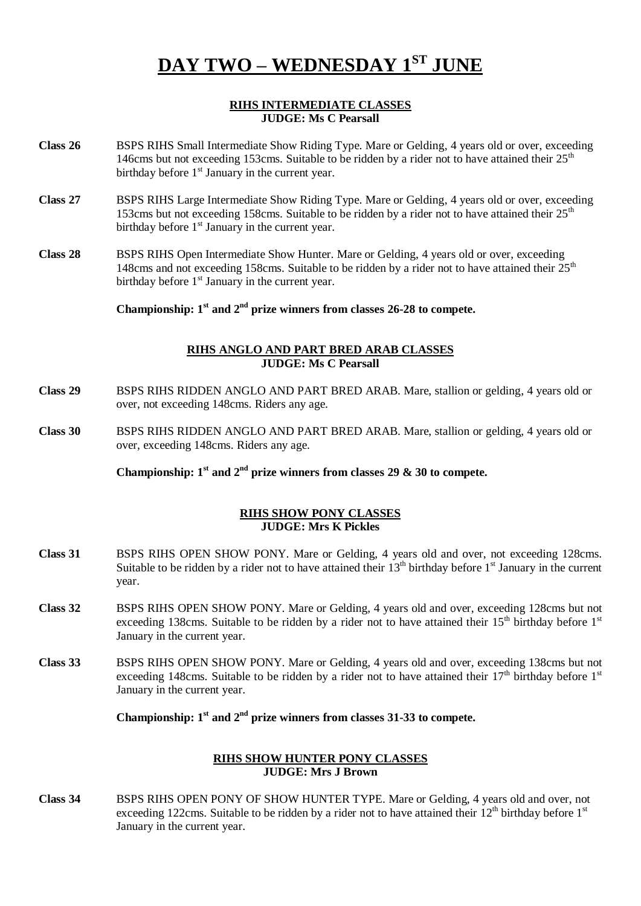# **DAY TWO – WEDNESDAY 1 ST JUNE**

#### **RIHS INTERMEDIATE CLASSES JUDGE: Ms C Pearsall**

- **Class 26** BSPS RIHS Small Intermediate Show Riding Type. Mare or Gelding, 4 years old or over, exceeding 146cms but not exceeding 153cms. Suitable to be ridden by a rider not to have attained their 25<sup>th</sup> birthday before  $1<sup>st</sup>$  January in the current year.
- **Class 27** BSPS RIHS Large Intermediate Show Riding Type. Mare or Gelding, 4 years old or over, exceeding 153cms but not exceeding 158cms. Suitable to be ridden by a rider not to have attained their  $25<sup>th</sup>$ birthday before  $1<sup>st</sup>$  January in the current year.
- **Class 28** BSPS RIHS Open Intermediate Show Hunter. Mare or Gelding, 4 years old or over, exceeding 148cms and not exceeding 158cms. Suitable to be ridden by a rider not to have attained their  $25<sup>th</sup>$ birthday before  $1<sup>st</sup>$  January in the current year.

**Championship: 1st and 2nd prize winners from classes 26-28 to compete.**

#### **RIHS ANGLO AND PART BRED ARAB CLASSES JUDGE: Ms C Pearsall**

- **Class 29** BSPS RIHS RIDDEN ANGLO AND PART BRED ARAB. Mare, stallion or gelding, 4 years old or over, not exceeding 148cms. Riders any age.
- **Class 30** BSPS RIHS RIDDEN ANGLO AND PART BRED ARAB. Mare, stallion or gelding, 4 years old or over, exceeding 148cms. Riders any age.

**Championship:**  $1^{\text{st}}$  **and**  $2^{\text{nd}}$  **prize winners from classes 29 & 30** to compete.

#### **RIHS SHOW PONY CLASSES JUDGE: Mrs K Pickles**

- **Class 31** BSPS RIHS OPEN SHOW PONY. Mare or Gelding, 4 years old and over, not exceeding 128cms. Suitable to be ridden by a rider not to have attained their  $13<sup>th</sup>$  birthday before  $1<sup>st</sup>$  January in the current year.
- **Class 32** BSPS RIHS OPEN SHOW PONY. Mare or Gelding, 4 years old and over, exceeding 128cms but not exceeding 138cms. Suitable to be ridden by a rider not to have attained their  $15<sup>th</sup>$  birthday before  $1<sup>st</sup>$ January in the current year.
- **Class 33** BSPS RIHS OPEN SHOW PONY. Mare or Gelding, 4 years old and over, exceeding 138cms but not exceeding 148cms. Suitable to be ridden by a rider not to have attained their  $17<sup>th</sup>$  birthday before  $1<sup>st</sup>$ January in the current year.

Championship:  $1<sup>st</sup>$  and  $2<sup>nd</sup>$  prize winners from classes 31-33 to compete.

#### **RIHS SHOW HUNTER PONY CLASSES JUDGE: Mrs J Brown**

**Class 34** BSPS RIHS OPEN PONY OF SHOW HUNTER TYPE. Mare or Gelding, 4 years old and over, not exceeding 122cms. Suitable to be ridden by a rider not to have attained their  $12<sup>th</sup>$  birthday before  $1<sup>st</sup>$ January in the current year.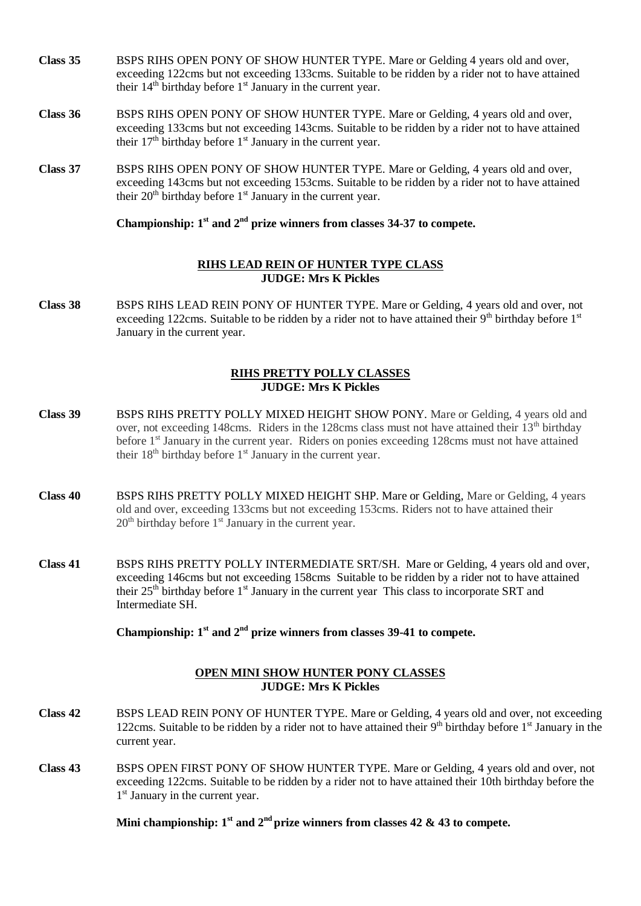- **Class 35** BSPS RIHS OPEN PONY OF SHOW HUNTER TYPE. Mare or Gelding 4 years old and over, exceeding 122cms but not exceeding 133cms. Suitable to be ridden by a rider not to have attained their  $14<sup>th</sup>$  birthday before  $1<sup>st</sup>$  January in the current year.
- **Class 36** BSPS RIHS OPEN PONY OF SHOW HUNTER TYPE. Mare or Gelding, 4 years old and over, exceeding 133cms but not exceeding 143cms. Suitable to be ridden by a rider not to have attained their  $17<sup>th</sup>$  birthday before  $1<sup>st</sup>$  January in the current year.
- **Class 37** BSPS RIHS OPEN PONY OF SHOW HUNTER TYPE. Mare or Gelding, 4 years old and over, exceeding 143cms but not exceeding 153cms. Suitable to be ridden by a rider not to have attained their  $20<sup>th</sup>$  birthday before  $1<sup>st</sup>$  January in the current year.

**Championship: 1 st and 2nd prize winners from classes 34-37 to compete.**

#### **RIHS LEAD REIN OF HUNTER TYPE CLASS JUDGE: Mrs K Pickles**

**Class 38** BSPS RIHS LEAD REIN PONY OF HUNTER TYPE. Mare or Gelding, 4 years old and over, not exceeding 122cms. Suitable to be ridden by a rider not to have attained their  $9<sup>th</sup>$  birthday before  $1<sup>st</sup>$ January in the current year.

#### **RIHS PRETTY POLLY CLASSES JUDGE: Mrs K Pickles**

- **Class 39** BSPS RIHS PRETTY POLLY MIXED HEIGHT SHOW PONY. Mare or Gelding, 4 years old and over, not exceeding 148cms. Riders in the 128cms class must not have attained their 13<sup>th</sup> birthday before 1<sup>st</sup> January in the current year. Riders on ponies exceeding 128cms must not have attained their  $18<sup>th</sup>$  birthday before  $1<sup>st</sup>$  January in the current year.
- **Class 40** BSPS RIHS PRETTY POLLY MIXED HEIGHT SHP. Mare or Gelding, Mare or Gelding, 4 years old and over, exceeding 133cms but not exceeding 153cms. Riders not to have attained their  $20<sup>th</sup>$  birthday before  $1<sup>st</sup>$  January in the current year.
- **Class 41** BSPS RIHS PRETTY POLLY INTERMEDIATE SRT/SH. Mare or Gelding, 4 years old and over, exceeding 146cms but not exceeding 158cms Suitable to be ridden by a rider not to have attained their 25<sup>th</sup> birthday before 1<sup>st</sup> January in the current year This class to incorporate SRT and Intermediate SH.

**Championship: 1st and 2nd prize winners from classes 39-41 to compete.** 

#### **OPEN MINI SHOW HUNTER PONY CLASSES JUDGE: Mrs K Pickles**

- **Class 42** BSPS LEAD REIN PONY OF HUNTER TYPE. Mare or Gelding, 4 years old and over, not exceeding 122cms. Suitable to be ridden by a rider not to have attained their  $9<sup>th</sup>$  birthday before  $1<sup>st</sup>$  January in the current year.
- **Class 43** BSPS OPEN FIRST PONY OF SHOW HUNTER TYPE. Mare or Gelding, 4 years old and over, not exceeding 122cms. Suitable to be ridden by a rider not to have attained their 10th birthday before the 1<sup>st</sup> January in the current year.

Mini championship:  $1<sup>st</sup>$  and  $2<sup>nd</sup>$  prize winners from classes 42 & 43 to compete.